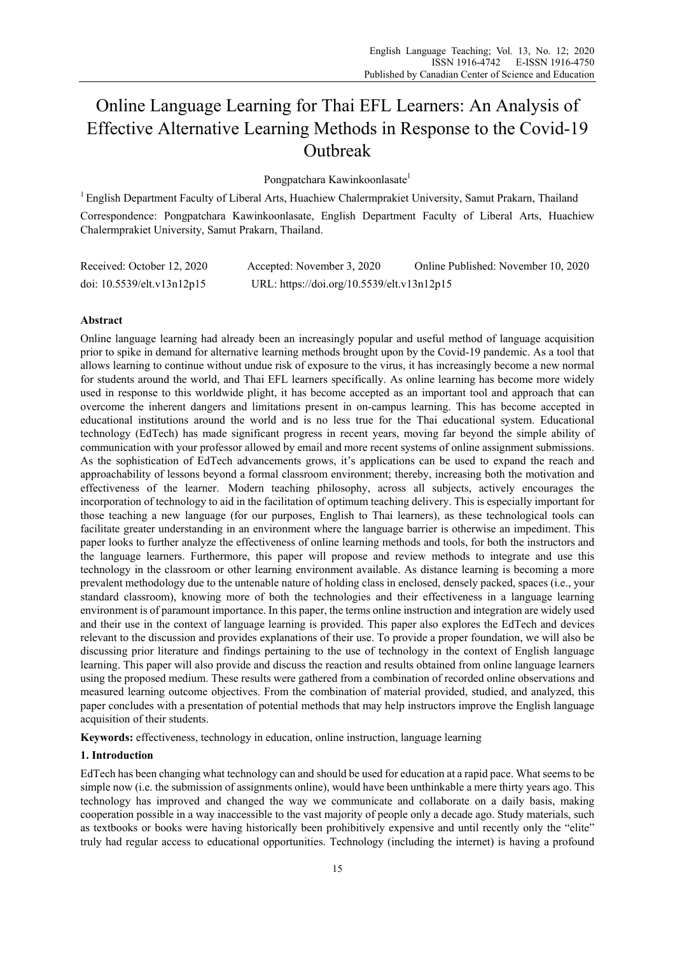# Online Language Learning for Thai EFL Learners: An Analysis of Effective Alternative Learning Methods in Response to the Covid-19 **Outbreak**

Pongpatchara Kawinkoonlasate<sup>1</sup>

 $1$  English Department Faculty of Liberal Arts, Huachiew Chalermprakiet University, Samut Prakarn, Thailand

Correspondence: Pongpatchara Kawinkoonlasate, English Department Faculty of Liberal Arts, Huachiew Chalermprakiet University, Samut Prakarn, Thailand.

| Received: October 12, 2020 | Accepted: November 3, 2020                 | Online Published: November 10, 2020 |
|----------------------------|--------------------------------------------|-------------------------------------|
| doi: 10.5539/elt.v13n12p15 | URL: https://doi.org/10.5539/elt.v13n12p15 |                                     |

# **Abstract**

Online language learning had already been an increasingly popular and useful method of language acquisition prior to spike in demand for alternative learning methods brought upon by the Covid-19 pandemic. As a tool that allows learning to continue without undue risk of exposure to the virus, it has increasingly become a new normal for students around the world, and Thai EFL learners specifically. As online learning has become more widely used in response to this worldwide plight, it has become accepted as an important tool and approach that can overcome the inherent dangers and limitations present in on-campus learning. This has become accepted in educational institutions around the world and is no less true for the Thai educational system. Educational technology (EdTech) has made significant progress in recent years, moving far beyond the simple ability of communication with your professor allowed by email and more recent systems of online assignment submissions. As the sophistication of EdTech advancements grows, it's applications can be used to expand the reach and approachability of lessons beyond a formal classroom environment; thereby, increasing both the motivation and effectiveness of the learner. Modern teaching philosophy, across all subjects, actively encourages the incorporation of technology to aid in the facilitation of optimum teaching delivery. This is especially important for those teaching a new language (for our purposes, English to Thai learners), as these technological tools can facilitate greater understanding in an environment where the language barrier is otherwise an impediment. This paper looks to further analyze the effectiveness of online learning methods and tools, for both the instructors and the language learners. Furthermore, this paper will propose and review methods to integrate and use this technology in the classroom or other learning environment available. As distance learning is becoming a more prevalent methodology due to the untenable nature of holding class in enclosed, densely packed, spaces (i.e., your standard classroom), knowing more of both the technologies and their effectiveness in a language learning environment is of paramount importance. In this paper, the terms online instruction and integration are widely used and their use in the context of language learning is provided. This paper also explores the EdTech and devices relevant to the discussion and provides explanations of their use. To provide a proper foundation, we will also be discussing prior literature and findings pertaining to the use of technology in the context of English language learning. This paper will also provide and discuss the reaction and results obtained from online language learners using the proposed medium. These results were gathered from a combination of recorded online observations and measured learning outcome objectives. From the combination of material provided, studied, and analyzed, this paper concludes with a presentation of potential methods that may help instructors improve the English language acquisition of their students.

**Keywords:** effectiveness, technology in education, online instruction, language learning

## **1. Introduction**

EdTech has been changing what technology can and should be used for education at a rapid pace. What seems to be simple now (i.e. the submission of assignments online), would have been unthinkable a mere thirty years ago. This technology has improved and changed the way we communicate and collaborate on a daily basis, making cooperation possible in a way inaccessible to the vast majority of people only a decade ago. Study materials, such as textbooks or books were having historically been prohibitively expensive and until recently only the "elite" truly had regular access to educational opportunities. Technology (including the internet) is having a profound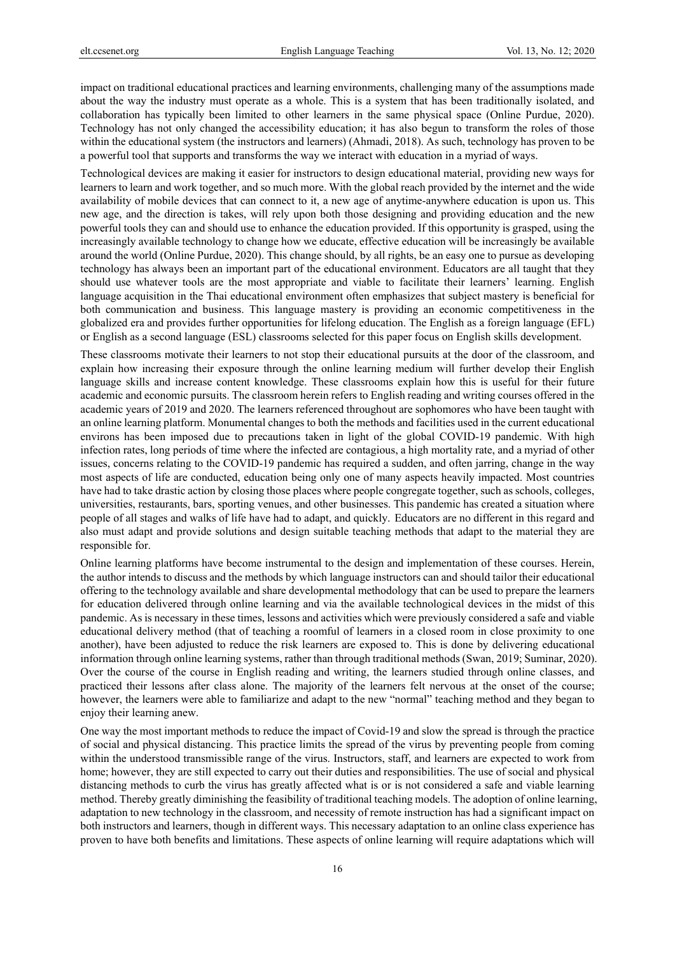impact on traditional educational practices and learning environments, challenging many of the assumptions made about the way the industry must operate as a whole. This is a system that has been traditionally isolated, and collaboration has typically been limited to other learners in the same physical space (Online Purdue, 2020). Technology has not only changed the accessibility education; it has also begun to transform the roles of those within the educational system (the instructors and learners) (Ahmadi, 2018). As such, technology has proven to be a powerful tool that supports and transforms the way we interact with education in a myriad of ways.

Technological devices are making it easier for instructors to design educational material, providing new ways for learners to learn and work together, and so much more. With the global reach provided by the internet and the wide availability of mobile devices that can connect to it, a new age of anytime-anywhere education is upon us. This new age, and the direction is takes, will rely upon both those designing and providing education and the new powerful tools they can and should use to enhance the education provided. If this opportunity is grasped, using the increasingly available technology to change how we educate, effective education will be increasingly be available around the world (Online Purdue, 2020). This change should, by all rights, be an easy one to pursue as developing technology has always been an important part of the educational environment. Educators are all taught that they should use whatever tools are the most appropriate and viable to facilitate their learners' learning. English language acquisition in the Thai educational environment often emphasizes that subject mastery is beneficial for both communication and business. This language mastery is providing an economic competitiveness in the globalized era and provides further opportunities for lifelong education. The English as a foreign language (EFL) or English as a second language (ESL) classrooms selected for this paper focus on English skills development.

These classrooms motivate their learners to not stop their educational pursuits at the door of the classroom, and explain how increasing their exposure through the online learning medium will further develop their English language skills and increase content knowledge. These classrooms explain how this is useful for their future academic and economic pursuits. The classroom herein refers to English reading and writing courses offered in the academic years of 2019 and 2020. The learners referenced throughout are sophomores who have been taught with an online learning platform. Monumental changes to both the methods and facilities used in the current educational environs has been imposed due to precautions taken in light of the global COVID-19 pandemic. With high infection rates, long periods of time where the infected are contagious, a high mortality rate, and a myriad of other issues, concerns relating to the COVID-19 pandemic has required a sudden, and often jarring, change in the way most aspects of life are conducted, education being only one of many aspects heavily impacted. Most countries have had to take drastic action by closing those places where people congregate together, such as schools, colleges, universities, restaurants, bars, sporting venues, and other businesses. This pandemic has created a situation where people of all stages and walks of life have had to adapt, and quickly. Educators are no different in this regard and also must adapt and provide solutions and design suitable teaching methods that adapt to the material they are responsible for.

Online learning platforms have become instrumental to the design and implementation of these courses. Herein, the author intends to discuss and the methods by which language instructors can and should tailor their educational offering to the technology available and share developmental methodology that can be used to prepare the learners for education delivered through online learning and via the available technological devices in the midst of this pandemic. As is necessary in these times, lessons and activities which were previously considered a safe and viable educational delivery method (that of teaching a roomful of learners in a closed room in close proximity to one another), have been adjusted to reduce the risk learners are exposed to. This is done by delivering educational information through online learning systems, rather than through traditional methods (Swan, 2019; Suminar, 2020). Over the course of the course in English reading and writing, the learners studied through online classes, and practiced their lessons after class alone. The majority of the learners felt nervous at the onset of the course; however, the learners were able to familiarize and adapt to the new "normal" teaching method and they began to enjoy their learning anew.

One way the most important methods to reduce the impact of Covid-19 and slow the spread is through the practice of social and physical distancing. This practice limits the spread of the virus by preventing people from coming within the understood transmissible range of the virus. Instructors, staff, and learners are expected to work from home; however, they are still expected to carry out their duties and responsibilities. The use of social and physical distancing methods to curb the virus has greatly affected what is or is not considered a safe and viable learning method. Thereby greatly diminishing the feasibility of traditional teaching models. The adoption of online learning, adaptation to new technology in the classroom, and necessity of remote instruction has had a significant impact on both instructors and learners, though in different ways. This necessary adaptation to an online class experience has proven to have both benefits and limitations. These aspects of online learning will require adaptations which will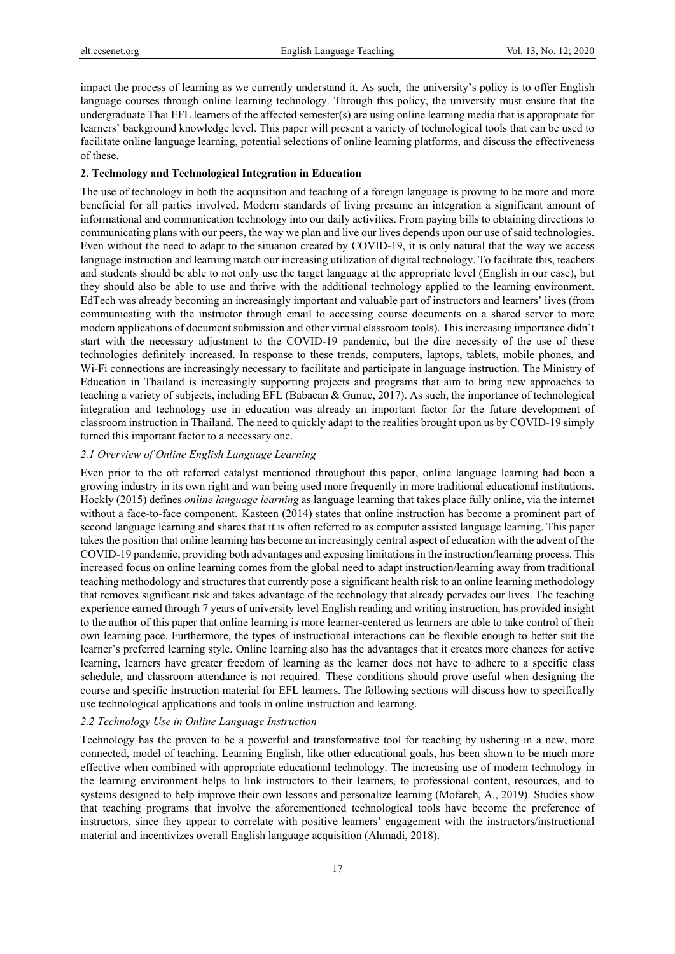impact the process of learning as we currently understand it. As such, the university's policy is to offer English language courses through online learning technology. Through this policy, the university must ensure that the undergraduate Thai EFL learners of the affected semester(s) are using online learning media that is appropriate for learners' background knowledge level. This paper will present a variety of technological tools that can be used to facilitate online language learning, potential selections of online learning platforms, and discuss the effectiveness of these.

#### **2. Technology and Technological Integration in Education**

The use of technology in both the acquisition and teaching of a foreign language is proving to be more and more beneficial for all parties involved. Modern standards of living presume an integration a significant amount of informational and communication technology into our daily activities. From paying bills to obtaining directions to communicating plans with our peers, the way we plan and live our lives depends upon our use of said technologies. Even without the need to adapt to the situation created by COVID-19, it is only natural that the way we access language instruction and learning match our increasing utilization of digital technology. To facilitate this, teachers and students should be able to not only use the target language at the appropriate level (English in our case), but they should also be able to use and thrive with the additional technology applied to the learning environment. EdTech was already becoming an increasingly important and valuable part of instructors and learners' lives (from communicating with the instructor through email to accessing course documents on a shared server to more modern applications of document submission and other virtual classroom tools). This increasing importance didn't start with the necessary adjustment to the COVID-19 pandemic, but the dire necessity of the use of these technologies definitely increased. In response to these trends, computers, laptops, tablets, mobile phones, and Wi-Fi connections are increasingly necessary to facilitate and participate in language instruction. The Ministry of Education in Thailand is increasingly supporting projects and programs that aim to bring new approaches to teaching a variety of subjects, including EFL (Babacan & Gunuc, 2017). As such, the importance of technological integration and technology use in education was already an important factor for the future development of classroom instruction in Thailand. The need to quickly adapt to the realities brought upon us by COVID-19 simply turned this important factor to a necessary one.

# *2.1 Overview of Online English Language Learning*

Even prior to the oft referred catalyst mentioned throughout this paper, online language learning had been a growing industry in its own right and wan being used more frequently in more traditional educational institutions. Hockly (2015) defines *online language learning* as language learning that takes place fully online, via the internet without a face-to-face component. Kasteen (2014) states that online instruction has become a prominent part of second language learning and shares that it is often referred to as computer assisted language learning. This paper takes the position that online learning has become an increasingly central aspect of education with the advent of the COVID-19 pandemic, providing both advantages and exposing limitations in the instruction/learning process. This increased focus on online learning comes from the global need to adapt instruction/learning away from traditional teaching methodology and structures that currently pose a significant health risk to an online learning methodology that removes significant risk and takes advantage of the technology that already pervades our lives. The teaching experience earned through 7 years of university level English reading and writing instruction, has provided insight to the author of this paper that online learning is more learner-centered as learners are able to take control of their own learning pace. Furthermore, the types of instructional interactions can be flexible enough to better suit the learner's preferred learning style. Online learning also has the advantages that it creates more chances for active learning, learners have greater freedom of learning as the learner does not have to adhere to a specific class schedule, and classroom attendance is not required. These conditions should prove useful when designing the course and specific instruction material for EFL learners. The following sections will discuss how to specifically use technological applications and tools in online instruction and learning.

## *2.2 Technology Use in Online Language Instruction*

Technology has the proven to be a powerful and transformative tool for teaching by ushering in a new, more connected, model of teaching. Learning English, like other educational goals, has been shown to be much more effective when combined with appropriate educational technology. The increasing use of modern technology in the learning environment helps to link instructors to their learners, to professional content, resources, and to systems designed to help improve their own lessons and personalize learning (Mofareh, A., 2019). Studies show that teaching programs that involve the aforementioned technological tools have become the preference of instructors, since they appear to correlate with positive learners' engagement with the instructors/instructional material and incentivizes overall English language acquisition (Ahmadi, 2018).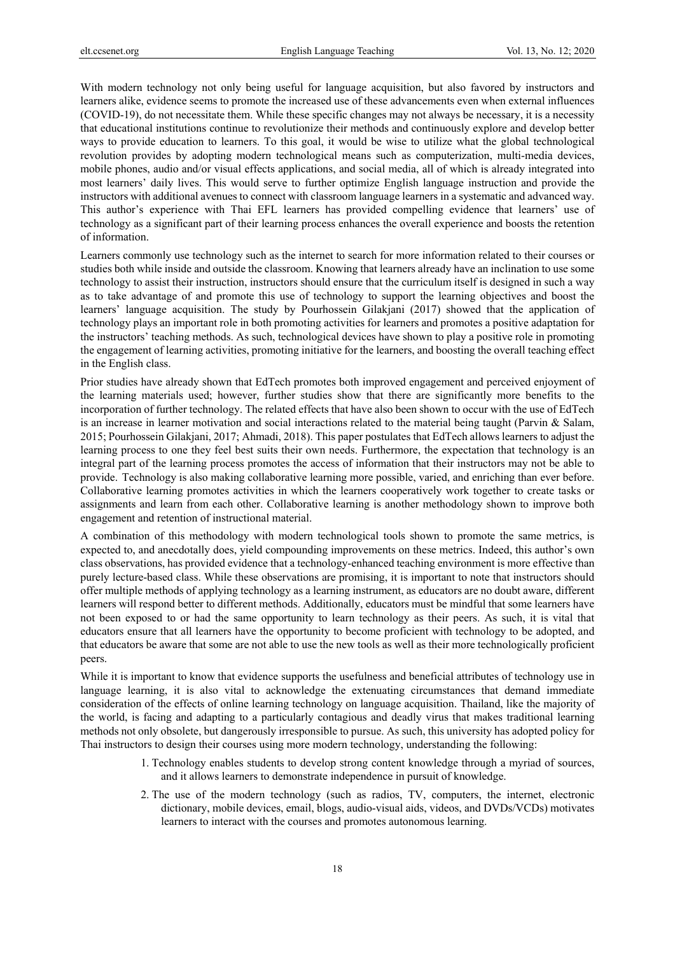With modern technology not only being useful for language acquisition, but also favored by instructors and learners alike, evidence seems to promote the increased use of these advancements even when external influences (COVID-19), do not necessitate them. While these specific changes may not always be necessary, it is a necessity that educational institutions continue to revolutionize their methods and continuously explore and develop better ways to provide education to learners. To this goal, it would be wise to utilize what the global technological revolution provides by adopting modern technological means such as computerization, multi-media devices, mobile phones, audio and/or visual effects applications, and social media, all of which is already integrated into most learners' daily lives. This would serve to further optimize English language instruction and provide the instructors with additional avenues to connect with classroom language learners in a systematic and advanced way. This author's experience with Thai EFL learners has provided compelling evidence that learners' use of technology as a significant part of their learning process enhances the overall experience and boosts the retention of information.

Learners commonly use technology such as the internet to search for more information related to their courses or studies both while inside and outside the classroom. Knowing that learners already have an inclination to use some technology to assist their instruction, instructors should ensure that the curriculum itself is designed in such a way as to take advantage of and promote this use of technology to support the learning objectives and boost the learners' language acquisition. The study by Pourhossein Gilakjani (2017) showed that the application of technology plays an important role in both promoting activities for learners and promotes a positive adaptation for the instructors' teaching methods. As such, technological devices have shown to play a positive role in promoting the engagement of learning activities, promoting initiative for the learners, and boosting the overall teaching effect in the English class.

Prior studies have already shown that EdTech promotes both improved engagement and perceived enjoyment of the learning materials used; however, further studies show that there are significantly more benefits to the incorporation of further technology. The related effects that have also been shown to occur with the use of EdTech is an increase in learner motivation and social interactions related to the material being taught (Parvin & Salam, 2015; Pourhossein Gilakjani, 2017; Ahmadi, 2018). This paper postulates that EdTech allows learners to adjust the learning process to one they feel best suits their own needs. Furthermore, the expectation that technology is an integral part of the learning process promotes the access of information that their instructors may not be able to provide. Technology is also making collaborative learning more possible, varied, and enriching than ever before. Collaborative learning promotes activities in which the learners cooperatively work together to create tasks or assignments and learn from each other. Collaborative learning is another methodology shown to improve both engagement and retention of instructional material.

A combination of this methodology with modern technological tools shown to promote the same metrics, is expected to, and anecdotally does, yield compounding improvements on these metrics. Indeed, this author's own class observations, has provided evidence that a technology-enhanced teaching environment is more effective than purely lecture-based class. While these observations are promising, it is important to note that instructors should offer multiple methods of applying technology as a learning instrument, as educators are no doubt aware, different learners will respond better to different methods. Additionally, educators must be mindful that some learners have not been exposed to or had the same opportunity to learn technology as their peers. As such, it is vital that educators ensure that all learners have the opportunity to become proficient with technology to be adopted, and that educators be aware that some are not able to use the new tools as well as their more technologically proficient peers.

While it is important to know that evidence supports the usefulness and beneficial attributes of technology use in language learning, it is also vital to acknowledge the extenuating circumstances that demand immediate consideration of the effects of online learning technology on language acquisition. Thailand, like the majority of the world, is facing and adapting to a particularly contagious and deadly virus that makes traditional learning methods not only obsolete, but dangerously irresponsible to pursue. As such, this university has adopted policy for Thai instructors to design their courses using more modern technology, understanding the following:

- 1. Technology enables students to develop strong content knowledge through a myriad of sources, and it allows learners to demonstrate independence in pursuit of knowledge.
- 2. The use of the modern technology (such as radios, TV, computers, the internet, electronic dictionary, mobile devices, email, blogs, audio-visual aids, videos, and DVDs/VCDs) motivates learners to interact with the courses and promotes autonomous learning.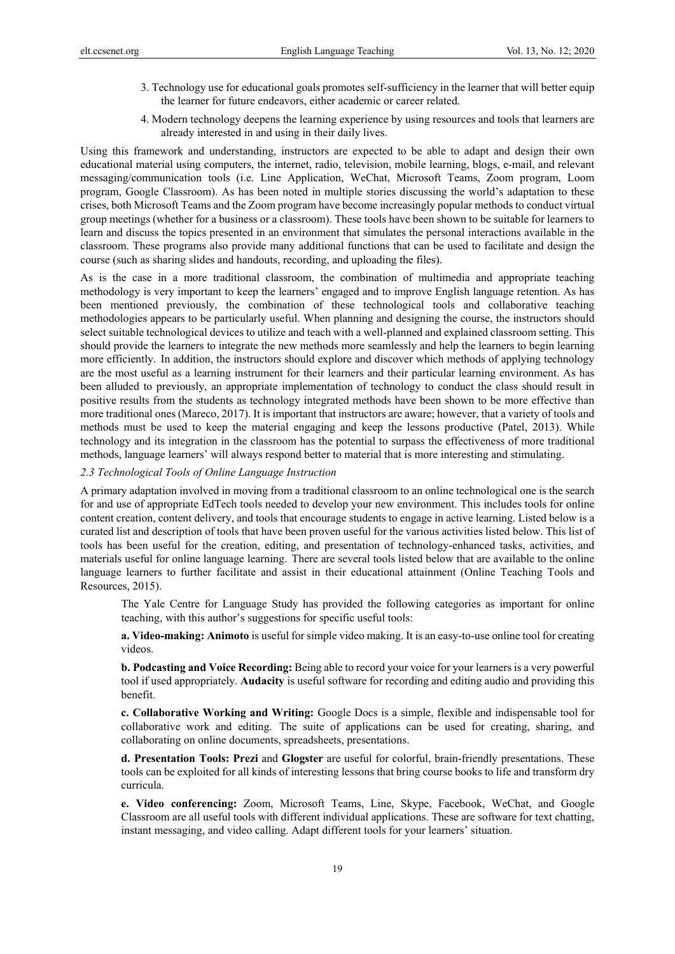- 3. Technology use for educational goals promotes self-sufficiency in the learner that will better equip the learner for future endeavors, either academic or career related.
- 4. Modern technology deepens the learning experience by using resources and tools that learners are already interested in and using in their daily lives.

Using this framework and understanding, instructors are expected to be able to adapt and design their own educational material using computers, the internet, radio, television, mobile learning, blogs, e-mail, and relevant messaging/communication tools (i.e. Line Application, WeChat, Microsoft Teams, Zoom program, Loom program, Google Classroom). As has been noted in multiple stories discussing the world's adaptation to these crises, both Microsoft Teams and the Zoom program have become increasingly popular methods to conduct virtual group meetings (whether for a business or a classroom). These tools have been shown to be suitable for learners to learn and discuss the topics presented in an environment that simulates the personal interactions available in the classroom. These programs also provide many additional functions that can be used to facilitate and design the course (such as sharing slides and handouts, recording, and uploading the files).

As is the case in a more traditional classroom, the combination of multimedia and appropriate teaching methodology is very important to keep the learners' engaged and to improve English language retention. As has been mentioned previously, the combination of these technological tools and collaborative teaching methodologies appears to be particularly useful. When planning and designing the course, the instructors should select suitable technological devices to utilize and teach with a well-planned and explained classroom setting. This should provide the learners to integrate the new methods more seamlessly and help the learners to begin learning more efficiently. In addition, the instructors should explore and discover which methods of applying technology are the most useful as a learning instrument for their learners and their particular learning environment. As has been alluded to previously, an appropriate implementation of technology to conduct the class should result in positive results from the students as technology integrated methods have been shown to be more effective than more traditional ones (Mareco, 2017). It is important that instructors are aware; however, that a variety of tools and methods must be used to keep the material engaging and keep the lessons productive (Patel, 2013). While technology and its integration in the classroom has the potential to surpass the effectiveness of more traditional methods, language learners' will always respond better to material that is more interesting and stimulating.

## *2.3 Technological Tools of Online Language Instruction*

A primary adaptation involved in moving from a traditional classroom to an online technological one is the search for and use of appropriate EdTech tools needed to develop your new environment. This includes tools for online content creation, content delivery, and tools that encourage students to engage in active learning. Listed below is a curated list and description of tools that have been proven useful for the various activities listed below. This list of tools has been useful for the creation, editing, and presentation of technology-enhanced tasks, activities, and materials useful for online language learning. There are several tools listed below that are available to the online language learners to further facilitate and assist in their educational attainment (Online Teaching Tools and Resources, 2015).

The Yale Centre for Language Study has provided the following categories as important for online teaching, with this author's suggestions for specific useful tools:

**a. Video-making: Animoto** is useful for simple video making. It is an easy-to-use online tool for creating videos.

**b. Podcasting and Voice Recording:** Being able to record your voice for your learners is a very powerful tool if used appropriately. **Audacity** is useful software for recording and editing audio and providing this benefit.

**c. Collaborative Working and Writing:** Google Docs is a simple, flexible and indispensable tool for collaborative work and editing. The suite of applications can be used for creating, sharing, and collaborating on online documents, spreadsheets, presentations.

**d. Presentation Tools: Prezi** and **Glogster** are useful for colorful, brain-friendly presentations. These tools can be exploited for all kinds of interesting lessons that bring course books to life and transform dry curricula.

**e. Video conferencing:** Zoom, Microsoft Teams, Line, Skype, Facebook, WeChat, and Google Classroom are all useful tools with different individual applications. These are software for text chatting, instant messaging, and video calling. Adapt different tools for your learners' situation.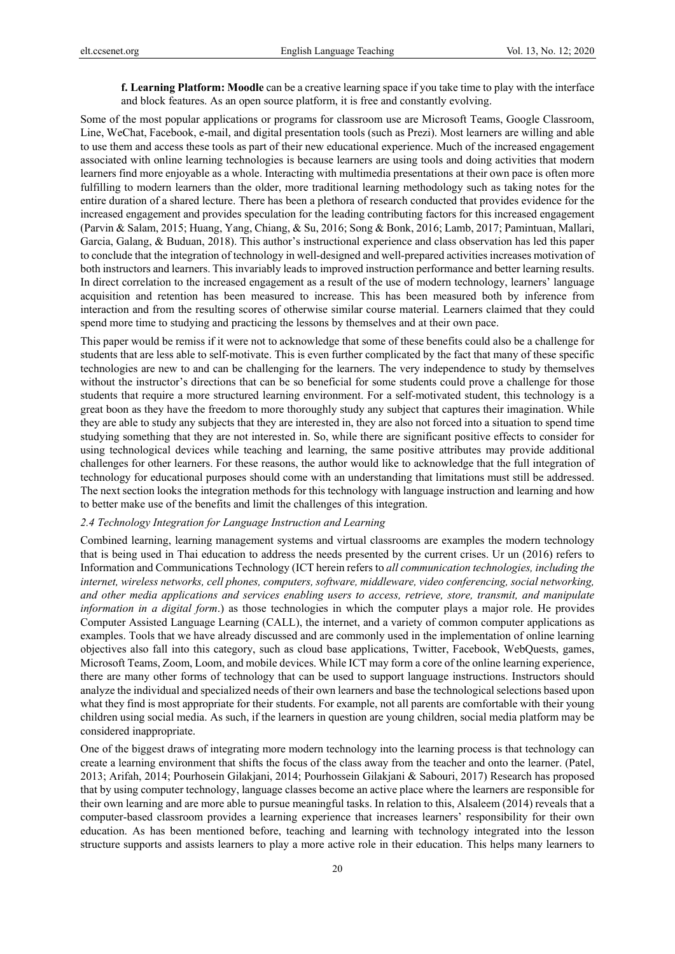**f. Learning Platform: Moodle** can be a creative learning space if you take time to play with the interface and block features. As an open source platform, it is free and constantly evolving.

Some of the most popular applications or programs for classroom use are Microsoft Teams, Google Classroom, Line, WeChat, Facebook, e-mail, and digital presentation tools (such as Prezi). Most learners are willing and able to use them and access these tools as part of their new educational experience. Much of the increased engagement associated with online learning technologies is because learners are using tools and doing activities that modern learners find more enjoyable as a whole. Interacting with multimedia presentations at their own pace is often more fulfilling to modern learners than the older, more traditional learning methodology such as taking notes for the entire duration of a shared lecture. There has been a plethora of research conducted that provides evidence for the increased engagement and provides speculation for the leading contributing factors for this increased engagement (Parvin & Salam, 2015; Huang, Yang, Chiang, & Su, 2016; Song & Bonk, 2016; Lamb, 2017; Pamintuan, Mallari, Garcia, Galang, & Buduan, 2018). This author's instructional experience and class observation has led this paper to conclude that the integration of technology in well-designed and well-prepared activities increases motivation of both instructors and learners. This invariably leads to improved instruction performance and better learning results. In direct correlation to the increased engagement as a result of the use of modern technology, learners' language acquisition and retention has been measured to increase. This has been measured both by inference from interaction and from the resulting scores of otherwise similar course material. Learners claimed that they could spend more time to studying and practicing the lessons by themselves and at their own pace.

This paper would be remiss if it were not to acknowledge that some of these benefits could also be a challenge for students that are less able to self-motivate. This is even further complicated by the fact that many of these specific technologies are new to and can be challenging for the learners. The very independence to study by themselves without the instructor's directions that can be so beneficial for some students could prove a challenge for those students that require a more structured learning environment. For a self-motivated student, this technology is a great boon as they have the freedom to more thoroughly study any subject that captures their imagination. While they are able to study any subjects that they are interested in, they are also not forced into a situation to spend time studying something that they are not interested in. So, while there are significant positive effects to consider for using technological devices while teaching and learning, the same positive attributes may provide additional challenges for other learners. For these reasons, the author would like to acknowledge that the full integration of technology for educational purposes should come with an understanding that limitations must still be addressed. The next section looks the integration methods for this technology with language instruction and learning and how to better make use of the benefits and limit the challenges of this integration.

#### *2.4 Technology Integration for Language Instruction and Learning*

Combined learning, learning management systems and virtual classrooms are examples the modern technology that is being used in Thai education to address the needs presented by the current crises. Ur un (2016) refers to Information and Communications Technology (ICT herein refers to *all communication technologies, including the internet, wireless networks, cell phones, computers, software, middleware, video conferencing, social networking, and other media applications and services enabling users to access, retrieve, store, transmit, and manipulate information in a digital form*.) as those technologies in which the computer plays a major role. He provides Computer Assisted Language Learning (CALL), the internet, and a variety of common computer applications as examples. Tools that we have already discussed and are commonly used in the implementation of online learning objectives also fall into this category, such as cloud base applications, Twitter, Facebook, WebQuests, games, Microsoft Teams, Zoom, Loom, and mobile devices. While ICT may form a core of the online learning experience, there are many other forms of technology that can be used to support language instructions. Instructors should analyze the individual and specialized needs of their own learners and base the technological selections based upon what they find is most appropriate for their students. For example, not all parents are comfortable with their young children using social media. As such, if the learners in question are young children, social media platform may be considered inappropriate.

One of the biggest draws of integrating more modern technology into the learning process is that technology can create a learning environment that shifts the focus of the class away from the teacher and onto the learner. (Patel, 2013; Arifah, 2014; Pourhosein Gilakjani, 2014; Pourhossein Gilakjani & Sabouri, 2017) Research has proposed that by using computer technology, language classes become an active place where the learners are responsible for their own learning and are more able to pursue meaningful tasks. In relation to this, Alsaleem (2014) reveals that a computer-based classroom provides a learning experience that increases learners' responsibility for their own education. As has been mentioned before, teaching and learning with technology integrated into the lesson structure supports and assists learners to play a more active role in their education. This helps many learners to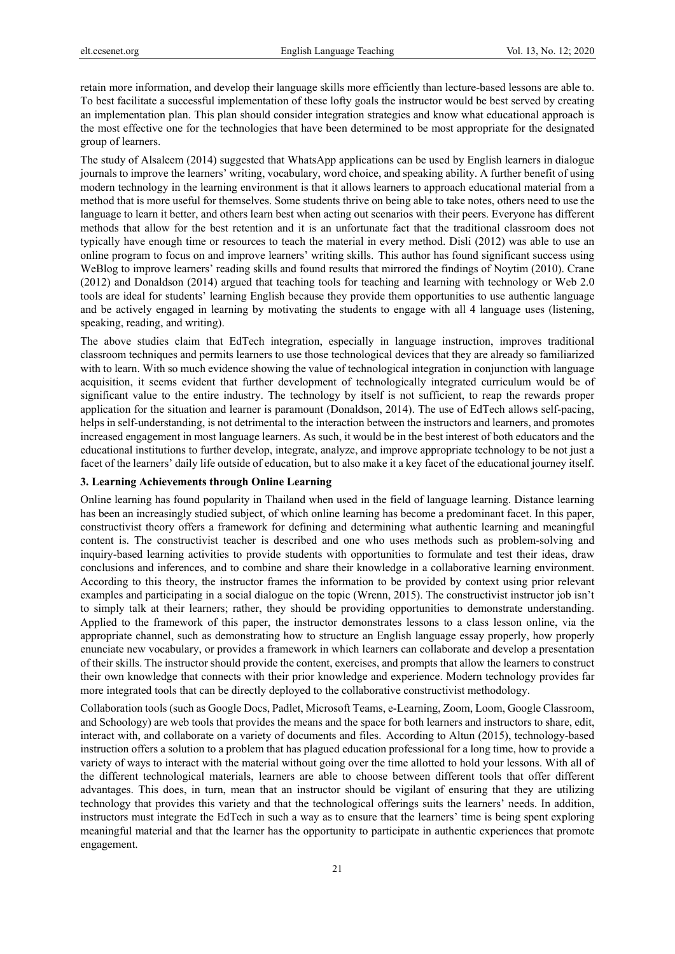retain more information, and develop their language skills more efficiently than lecture-based lessons are able to. To best facilitate a successful implementation of these lofty goals the instructor would be best served by creating an implementation plan. This plan should consider integration strategies and know what educational approach is the most effective one for the technologies that have been determined to be most appropriate for the designated group of learners.

The study of Alsaleem (2014) suggested that WhatsApp applications can be used by English learners in dialogue journals to improve the learners' writing, vocabulary, word choice, and speaking ability. A further benefit of using modern technology in the learning environment is that it allows learners to approach educational material from a method that is more useful for themselves. Some students thrive on being able to take notes, others need to use the language to learn it better, and others learn best when acting out scenarios with their peers. Everyone has different methods that allow for the best retention and it is an unfortunate fact that the traditional classroom does not typically have enough time or resources to teach the material in every method. Disli (2012) was able to use an online program to focus on and improve learners' writing skills. This author has found significant success using WeBlog to improve learners' reading skills and found results that mirrored the findings of Noytim (2010). Crane (2012) and Donaldson (2014) argued that teaching tools for teaching and learning with technology or Web 2.0 tools are ideal for students' learning English because they provide them opportunities to use authentic language and be actively engaged in learning by motivating the students to engage with all 4 language uses (listening, speaking, reading, and writing).

The above studies claim that EdTech integration, especially in language instruction, improves traditional classroom techniques and permits learners to use those technological devices that they are already so familiarized with to learn. With so much evidence showing the value of technological integration in conjunction with language acquisition, it seems evident that further development of technologically integrated curriculum would be of significant value to the entire industry. The technology by itself is not sufficient, to reap the rewards proper application for the situation and learner is paramount (Donaldson, 2014). The use of EdTech allows self-pacing, helps in self-understanding, is not detrimental to the interaction between the instructors and learners, and promotes increased engagement in most language learners. As such, it would be in the best interest of both educators and the educational institutions to further develop, integrate, analyze, and improve appropriate technology to be not just a facet of the learners' daily life outside of education, but to also make it a key facet of the educational journey itself.

## **3. Learning Achievements through Online Learning**

Online learning has found popularity in Thailand when used in the field of language learning. Distance learning has been an increasingly studied subject, of which online learning has become a predominant facet. In this paper, constructivist theory offers a framework for defining and determining what authentic learning and meaningful content is. The constructivist teacher is described and one who uses methods such as problem-solving and inquiry-based learning activities to provide students with opportunities to formulate and test their ideas, draw conclusions and inferences, and to combine and share their knowledge in a collaborative learning environment. According to this theory, the instructor frames the information to be provided by context using prior relevant examples and participating in a social dialogue on the topic (Wrenn, 2015). The constructivist instructor job isn't to simply talk at their learners; rather, they should be providing opportunities to demonstrate understanding. Applied to the framework of this paper, the instructor demonstrates lessons to a class lesson online, via the appropriate channel, such as demonstrating how to structure an English language essay properly, how properly enunciate new vocabulary, or provides a framework in which learners can collaborate and develop a presentation of their skills. The instructor should provide the content, exercises, and prompts that allow the learners to construct their own knowledge that connects with their prior knowledge and experience. Modern technology provides far more integrated tools that can be directly deployed to the collaborative constructivist methodology.

Collaboration tools (such as Google Docs, Padlet, Microsoft Teams, e-Learning, Zoom, Loom, Google Classroom, and Schoology) are web tools that provides the means and the space for both learners and instructors to share, edit, interact with, and collaborate on a variety of documents and files. According to Altun (2015), technology-based instruction offers a solution to a problem that has plagued education professional for a long time, how to provide a variety of ways to interact with the material without going over the time allotted to hold your lessons. With all of the different technological materials, learners are able to choose between different tools that offer different advantages. This does, in turn, mean that an instructor should be vigilant of ensuring that they are utilizing technology that provides this variety and that the technological offerings suits the learners' needs. In addition, instructors must integrate the EdTech in such a way as to ensure that the learners' time is being spent exploring meaningful material and that the learner has the opportunity to participate in authentic experiences that promote engagement.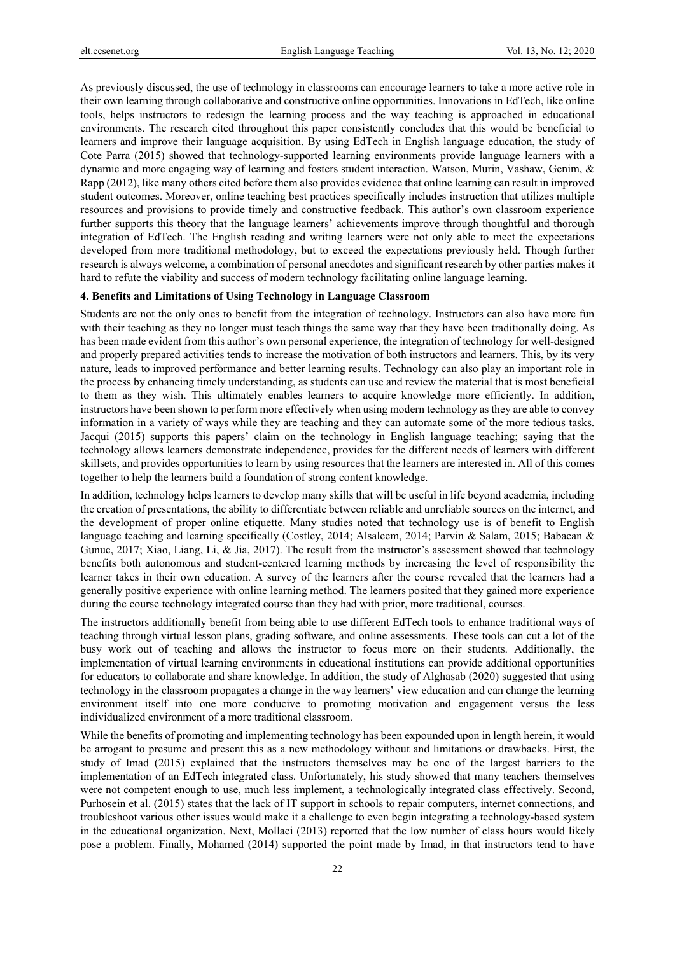As previously discussed, the use of technology in classrooms can encourage learners to take a more active role in their own learning through collaborative and constructive online opportunities. Innovations in EdTech, like online tools, helps instructors to redesign the learning process and the way teaching is approached in educational environments. The research cited throughout this paper consistently concludes that this would be beneficial to learners and improve their language acquisition. By using EdTech in English language education, the study of Cote Parra (2015) showed that technology-supported learning environments provide language learners with a dynamic and more engaging way of learning and fosters student interaction. Watson, Murin, Vashaw, Genim, & Rapp (2012), like many others cited before them also provides evidence that online learning can result in improved student outcomes. Moreover, online teaching best practices specifically includes instruction that utilizes multiple resources and provisions to provide timely and constructive feedback. This author's own classroom experience further supports this theory that the language learners' achievements improve through thoughtful and thorough integration of EdTech. The English reading and writing learners were not only able to meet the expectations developed from more traditional methodology, but to exceed the expectations previously held. Though further research is always welcome, a combination of personal anecdotes and significant research by other parties makes it hard to refute the viability and success of modern technology facilitating online language learning.

# **4. Benefits and Limitations of Using Technology in Language Classroom**

Students are not the only ones to benefit from the integration of technology. Instructors can also have more fun with their teaching as they no longer must teach things the same way that they have been traditionally doing. As has been made evident from this author's own personal experience, the integration of technology for well-designed and properly prepared activities tends to increase the motivation of both instructors and learners. This, by its very nature, leads to improved performance and better learning results. Technology can also play an important role in the process by enhancing timely understanding, as students can use and review the material that is most beneficial to them as they wish. This ultimately enables learners to acquire knowledge more efficiently. In addition, instructors have been shown to perform more effectively when using modern technology as they are able to convey information in a variety of ways while they are teaching and they can automate some of the more tedious tasks. Jacqui (2015) supports this papers' claim on the technology in English language teaching; saying that the technology allows learners demonstrate independence, provides for the different needs of learners with different skillsets, and provides opportunities to learn by using resources that the learners are interested in. All of this comes together to help the learners build a foundation of strong content knowledge.

In addition, technology helps learners to develop many skills that will be useful in life beyond academia, including the creation of presentations, the ability to differentiate between reliable and unreliable sources on the internet, and the development of proper online etiquette. Many studies noted that technology use is of benefit to English language teaching and learning specifically (Costley, 2014; Alsaleem, 2014; Parvin & Salam, 2015; Babacan & Gunuc, 2017; Xiao, Liang, Li, & Jia, 2017). The result from the instructor's assessment showed that technology benefits both autonomous and student-centered learning methods by increasing the level of responsibility the learner takes in their own education. A survey of the learners after the course revealed that the learners had a generally positive experience with online learning method. The learners posited that they gained more experience during the course technology integrated course than they had with prior, more traditional, courses.

The instructors additionally benefit from being able to use different EdTech tools to enhance traditional ways of teaching through virtual lesson plans, grading software, and online assessments. These tools can cut a lot of the busy work out of teaching and allows the instructor to focus more on their students. Additionally, the implementation of virtual learning environments in educational institutions can provide additional opportunities for educators to collaborate and share knowledge. In addition, the study of Alghasab (2020) suggested that using technology in the classroom propagates a change in the way learners' view education and can change the learning environment itself into one more conducive to promoting motivation and engagement versus the less individualized environment of a more traditional classroom.

While the benefits of promoting and implementing technology has been expounded upon in length herein, it would be arrogant to presume and present this as a new methodology without and limitations or drawbacks. First, the study of Imad (2015) explained that the instructors themselves may be one of the largest barriers to the implementation of an EdTech integrated class. Unfortunately, his study showed that many teachers themselves were not competent enough to use, much less implement, a technologically integrated class effectively. Second, Purhosein et al. (2015) states that the lack of IT support in schools to repair computers, internet connections, and troubleshoot various other issues would make it a challenge to even begin integrating a technology-based system in the educational organization. Next, Mollaei (2013) reported that the low number of class hours would likely pose a problem. Finally, Mohamed (2014) supported the point made by Imad, in that instructors tend to have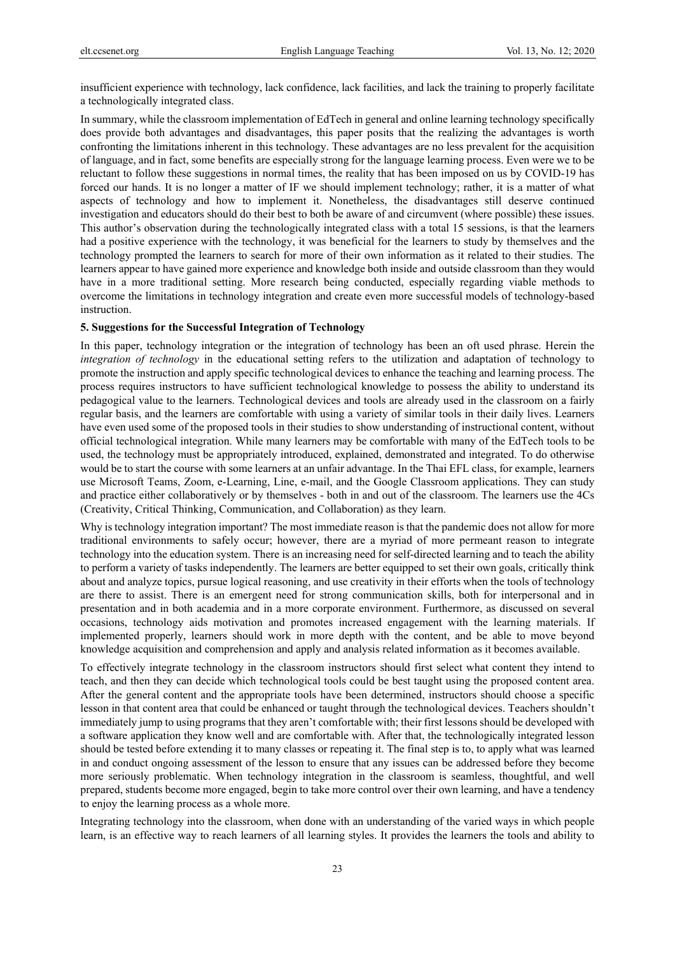insufficient experience with technology, lack confidence, lack facilities, and lack the training to properly facilitate a technologically integrated class.

In summary, while the classroom implementation of EdTech in general and online learning technology specifically does provide both advantages and disadvantages, this paper posits that the realizing the advantages is worth confronting the limitations inherent in this technology. These advantages are no less prevalent for the acquisition of language, and in fact, some benefits are especially strong for the language learning process. Even were we to be reluctant to follow these suggestions in normal times, the reality that has been imposed on us by COVID-19 has forced our hands. It is no longer a matter of IF we should implement technology; rather, it is a matter of what aspects of technology and how to implement it. Nonetheless, the disadvantages still deserve continued investigation and educators should do their best to both be aware of and circumvent (where possible) these issues. This author's observation during the technologically integrated class with a total 15 sessions, is that the learners had a positive experience with the technology, it was beneficial for the learners to study by themselves and the technology prompted the learners to search for more of their own information as it related to their studies. The learners appear to have gained more experience and knowledge both inside and outside classroom than they would have in a more traditional setting. More research being conducted, especially regarding viable methods to overcome the limitations in technology integration and create even more successful models of technology-based instruction.

# **5. Suggestions for the Successful Integration of Technology**

In this paper, technology integration or the integration of technology has been an oft used phrase. Herein the *integration of technology* in the educational setting refers to the utilization and adaptation of technology to promote the instruction and apply specific technological devices to enhance the teaching and learning process. The process requires instructors to have sufficient technological knowledge to possess the ability to understand its pedagogical value to the learners. Technological devices and tools are already used in the classroom on a fairly regular basis, and the learners are comfortable with using a variety of similar tools in their daily lives. Learners have even used some of the proposed tools in their studies to show understanding of instructional content, without official technological integration. While many learners may be comfortable with many of the EdTech tools to be used, the technology must be appropriately introduced, explained, demonstrated and integrated. To do otherwise would be to start the course with some learners at an unfair advantage. In the Thai EFL class, for example, learners use Microsoft Teams, Zoom, e-Learning, Line, e-mail, and the Google Classroom applications. They can study and practice either collaboratively or by themselves - both in and out of the classroom. The learners use the 4Cs (Creativity, Critical Thinking, Communication, and Collaboration) as they learn.

Why is technology integration important? The most immediate reason is that the pandemic does not allow for more traditional environments to safely occur; however, there are a myriad of more permeant reason to integrate technology into the education system. There is an increasing need for self-directed learning and to teach the ability to perform a variety of tasks independently. The learners are better equipped to set their own goals, critically think about and analyze topics, pursue logical reasoning, and use creativity in their efforts when the tools of technology are there to assist. There is an emergent need for strong communication skills, both for interpersonal and in presentation and in both academia and in a more corporate environment. Furthermore, as discussed on several occasions, technology aids motivation and promotes increased engagement with the learning materials. If implemented properly, learners should work in more depth with the content, and be able to move beyond knowledge acquisition and comprehension and apply and analysis related information as it becomes available.

To effectively integrate technology in the classroom instructors should first select what content they intend to teach, and then they can decide which technological tools could be best taught using the proposed content area. After the general content and the appropriate tools have been determined, instructors should choose a specific lesson in that content area that could be enhanced or taught through the technological devices. Teachers shouldn't immediately jump to using programs that they aren't comfortable with; their first lessons should be developed with a software application they know well and are comfortable with. After that, the technologically integrated lesson should be tested before extending it to many classes or repeating it. The final step is to, to apply what was learned in and conduct ongoing assessment of the lesson to ensure that any issues can be addressed before they become more seriously problematic. When technology integration in the classroom is seamless, thoughtful, and well prepared, students become more engaged, begin to take more control over their own learning, and have a tendency to enjoy the learning process as a whole more.

Integrating technology into the classroom, when done with an understanding of the varied ways in which people learn, is an effective way to reach learners of all learning styles. It provides the learners the tools and ability to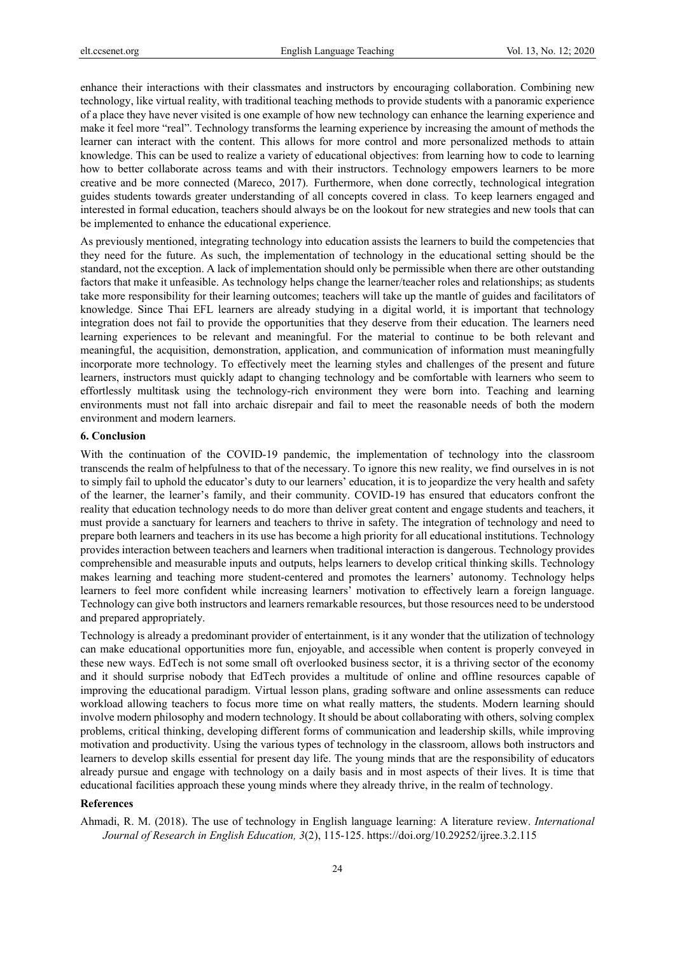enhance their interactions with their classmates and instructors by encouraging collaboration. Combining new technology, like virtual reality, with traditional teaching methods to provide students with a panoramic experience of a place they have never visited is one example of how new technology can enhance the learning experience and make it feel more "real". Technology transforms the learning experience by increasing the amount of methods the learner can interact with the content. This allows for more control and more personalized methods to attain knowledge. This can be used to realize a variety of educational objectives: from learning how to code to learning how to better collaborate across teams and with their instructors. Technology empowers learners to be more creative and be more connected (Mareco, 2017). Furthermore, when done correctly, technological integration guides students towards greater understanding of all concepts covered in class. To keep learners engaged and interested in formal education, teachers should always be on the lookout for new strategies and new tools that can be implemented to enhance the educational experience.

As previously mentioned, integrating technology into education assists the learners to build the competencies that they need for the future. As such, the implementation of technology in the educational setting should be the standard, not the exception. A lack of implementation should only be permissible when there are other outstanding factors that make it unfeasible. As technology helps change the learner/teacher roles and relationships; as students take more responsibility for their learning outcomes; teachers will take up the mantle of guides and facilitators of knowledge. Since Thai EFL learners are already studying in a digital world, it is important that technology integration does not fail to provide the opportunities that they deserve from their education. The learners need learning experiences to be relevant and meaningful. For the material to continue to be both relevant and meaningful, the acquisition, demonstration, application, and communication of information must meaningfully incorporate more technology. To effectively meet the learning styles and challenges of the present and future learners, instructors must quickly adapt to changing technology and be comfortable with learners who seem to effortlessly multitask using the technology-rich environment they were born into. Teaching and learning environments must not fall into archaic disrepair and fail to meet the reasonable needs of both the modern environment and modern learners.

## **6. Conclusion**

With the continuation of the COVID-19 pandemic, the implementation of technology into the classroom transcends the realm of helpfulness to that of the necessary. To ignore this new reality, we find ourselves in is not to simply fail to uphold the educator's duty to our learners' education, it is to jeopardize the very health and safety of the learner, the learner's family, and their community. COVID-19 has ensured that educators confront the reality that education technology needs to do more than deliver great content and engage students and teachers, it must provide a sanctuary for learners and teachers to thrive in safety. The integration of technology and need to prepare both learners and teachers in its use has become a high priority for all educational institutions. Technology provides interaction between teachers and learners when traditional interaction is dangerous. Technology provides comprehensible and measurable inputs and outputs, helps learners to develop critical thinking skills. Technology makes learning and teaching more student-centered and promotes the learners' autonomy. Technology helps learners to feel more confident while increasing learners' motivation to effectively learn a foreign language. Technology can give both instructors and learners remarkable resources, but those resources need to be understood and prepared appropriately.

Technology is already a predominant provider of entertainment, is it any wonder that the utilization of technology can make educational opportunities more fun, enjoyable, and accessible when content is properly conveyed in these new ways. EdTech is not some small oft overlooked business sector, it is a thriving sector of the economy and it should surprise nobody that EdTech provides a multitude of online and offline resources capable of improving the educational paradigm. Virtual lesson plans, grading software and online assessments can reduce workload allowing teachers to focus more time on what really matters, the students. Modern learning should involve modern philosophy and modern technology. It should be about collaborating with others, solving complex problems, critical thinking, developing different forms of communication and leadership skills, while improving motivation and productivity. Using the various types of technology in the classroom, allows both instructors and learners to develop skills essential for present day life. The young minds that are the responsibility of educators already pursue and engage with technology on a daily basis and in most aspects of their lives. It is time that educational facilities approach these young minds where they already thrive, in the realm of technology.

## **References**

Ahmadi, R. M. (2018). The use of technology in English language learning: A literature review. *International Journal of Research in English Education, 3*(2), 115-125. https://doi.org/10.29252/ijree.3.2.115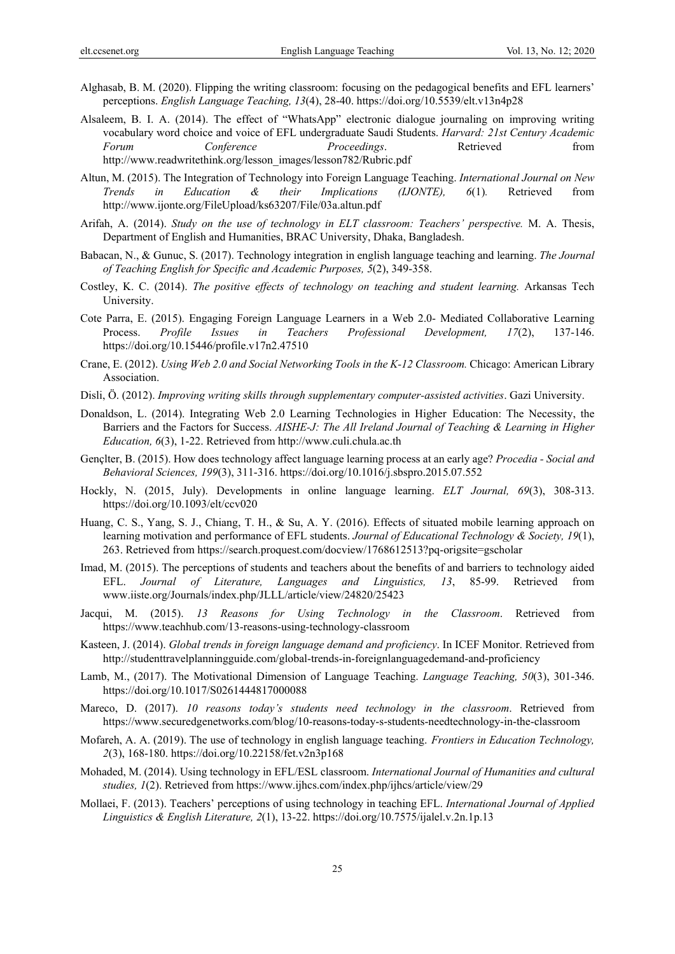- Alghasab, B. M. (2020). Flipping the writing classroom: focusing on the pedagogical benefits and EFL learners' perceptions. *English Language Teaching, 13*(4), 28-40. https://doi.org/10.5539/elt.v13n4p28
- Alsaleem, B. I. A. (2014). The effect of "WhatsApp" electronic dialogue journaling on improving writing vocabulary word choice and voice of EFL undergraduate Saudi Students. *Harvard: 21st Century Academic Forum Conference Proceedings*. Retrieved from http://www.readwritethink.org/lesson\_images/lesson782/Rubric.pdf
- Altun, M. (2015). The Integration of Technology into Foreign Language Teaching. *International Journal on New Trends in Education & their Implications (IJONTE), 6*(1)*.* Retrieved from http://www.ijonte.org/FileUpload/ks63207/File/03a.altun.pdf
- Arifah, A. (2014). *Study on the use of technology in ELT classroom: Teachers' perspective.* M. A. Thesis, Department of English and Humanities, BRAC University, Dhaka, Bangladesh.
- Babacan, N., & Gunuc, S. (2017). Technology integration in english language teaching and learning. *The Journal of Teaching English for Specific and Academic Purposes, 5*(2), 349-358.
- Costley, K. C. (2014). *The positive effects of technology on teaching and student learning.* Arkansas Tech University.
- Cote Parra, E. (2015). Engaging Foreign Language Learners in a Web 2.0- Mediated Collaborative Learning Process. *Profile Issues in Teachers Professional Development, 17*(2), 137-146. https://doi.org/10.15446/profile.v17n2.47510
- Crane, E. (2012). *Using Web 2.0 and Social Networking Tools in the K-12 Classroom.* Chicago: American Library Association.
- Disli, Ö. (2012). *Improving writing skills through supplementary computer-assisted activities*. Gazi University.
- Donaldson, L. (2014). Integrating Web 2.0 Learning Technologies in Higher Education: The Necessity, the Barriers and the Factors for Success. *AISHE-J: The All Ireland Journal of Teaching & Learning in Higher Education, 6*(3), 1-22. Retrieved from http://www.culi.chula.ac.th
- Gençlter, B. (2015). How does technology affect language learning process at an early age? *Procedia Social and Behavioral Sciences, 199*(3), 311-316. https://doi.org/10.1016/j.sbspro.2015.07.552
- Hockly, N. (2015, July). Developments in online language learning. *ELT Journal, 69*(3), 308-313. https://doi.org/10.1093/elt/ccv020
- Huang, C. S., Yang, S. J., Chiang, T. H., & Su, A. Y. (2016). Effects of situated mobile learning approach on learning motivation and performance of EFL students. *Journal of Educational Technology & Society, 19*(1), 263. Retrieved from https://search.proquest.com/docview/1768612513?pq-origsite=gscholar
- Imad, M. (2015). The perceptions of students and teachers about the benefits of and barriers to technology aided EFL. *Journal of Literature, Languages and Linguistics, 13*, 85-99. Retrieved from www.iiste.org/Journals/index.php/JLLL/article/view/24820/25423
- M. (2015). 13 Reasons for Using Technology in the Classroom. Retrieved from https://www.teachhub.com/13-reasons-using-technology-classroom
- Kasteen, J. (2014). *Global trends in foreign language demand and proficiency*. In ICEF Monitor. Retrieved from http://studenttravelplanningguide.com/global-trends-in-foreignlanguagedemand-and-proficiency
- Lamb, M., (2017). The Motivational Dimension of Language Teaching. *Language Teaching, 50*(3), 301-346. https://doi.org/10.1017/S0261444817000088
- Mareco, D. (2017). *10 reasons today's students need technology in the classroom*. Retrieved from https://www.securedgenetworks.com/blog/10-reasons-today-s-students-needtechnology-in-the-classroom
- Mofareh, A. A. (2019). The use of technology in english language teaching. *Frontiers in Education Technology, 2*(3), 168-180. https://doi.org/10.22158/fet.v2n3p168
- Mohaded, M. (2014). Using technology in EFL/ESL classroom. *International Journal of Humanities and cultural studies, 1*(2). Retrieved from https://www.ijhcs.com/index.php/ijhcs/article/view/29
- Mollaei, F. (2013). Teachers' perceptions of using technology in teaching EFL. *International Journal of Applied Linguistics & English Literature, 2*(1), 13-22. https://doi.org/10.7575/ijalel.v.2n.1p.13